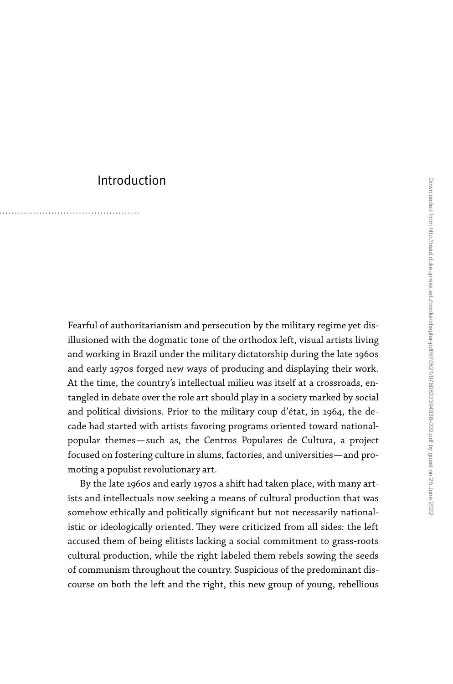## Introduction

Fearful of authoritarianism and persecution by the military regime yet disillusioned with the dogmatic tone of the orthodox left, visual artists living and working in Brazil under the military dictatorship during the late 1960s and early 1970s forged new ways of producing and displaying their work. At the time, the country's intellectual milieu was itself at a crossroads, entangled in debate over the role art should play in a society marked by social and political divisions. Prior to the military coup d'état, in 1964, the decade had started with artists favoring programs oriented toward nationalpopular themes—such as, the Centros Populares de Cultura, a project focused on fostering culture in slums, factories, and universities—and promoting a populist revolutionary art.

By the late 1960s and early 1970s a shift had taken place, with many artists and intellectuals now seeking a means of cultural production that was somehow ethically and politically significant but not necessarily nationalistic or ideologically oriented. They were criticized from all sides: the left accused them of being elitists lacking a social commitment to grass-roots cultural production, while the right labeled them rebels sowing the seeds of communism throughout the country. Suspicious of the predominant discourse on both the left and the right, this new group of young, rebellious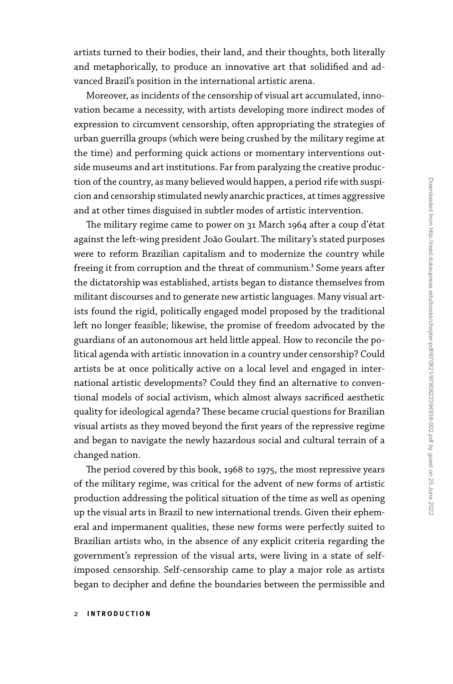artists turned to their bodies, their land, and their thoughts, both literally and metaphorically, to produce an innovative art that solidified and advanced Brazil's position in the international artistic arena.

Moreover, as incidents of the censorship of visual art accumulated, innovation became a necessity, with artists developing more indirect modes of expression to circumvent censorship, often appropriating the strategies of urban guerrilla groups (which were being crushed by the military regime at the time) and performing quick actions or momentary interventions outside museums and art institutions. Far from paralyzing the creative production of the country, as many believed would happen, a period rife with suspicion and censorship stimulated newly anarchic practices, at times aggressive and at other times disguised in subtler modes of artistic intervention.

The military regime came to power on 31 March 1964 after a coup d'état against the left-wing president João Goulart. The military's stated purposes were to reform Brazilian capitalism and to modernize the country while freeing it from corruption and the threat of communism.<sup>1</sup> Some years after the dictatorship was established, artists began to distance themselves from militant discourses and to generate new artistic languages. Many visual artists found the rigid, politically engaged model proposed by the traditional left no longer feasible; likewise, the promise of freedom advocated by the guardians of an autonomous art held little appeal. How to reconcile the political agenda with artistic innovation in a country under censorship? Could artists be at once politically active on a local level and engaged in international artistic developments? Could they find an alternative to conventional models of social activism, which almost always sacrificed aesthetic quality for ideological agenda? These became crucial questions for Brazilian visual artists as they moved beyond the first years of the repressive regime and began to navigate the newly hazardous social and cultural terrain of a changed nation.

The period covered by this book, 1968 to 1975, the most repressive years of the military regime, was critical for the advent of new forms of artistic production addressing the political situation of the time as well as opening up the visual arts in Brazil to new international trends. Given their ephemeral and impermanent qualities, these new forms were perfectly suited to Brazilian artists who, in the absence of any explicit criteria regarding the government's repression of the visual arts, were living in a state of selfimposed censorship. Self-censorship came to play a major role as artists began to decipher and define the boundaries between the permissible and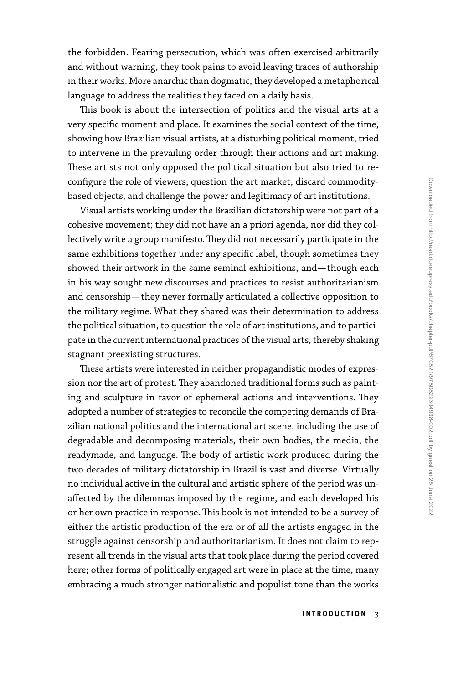the forbidden. Fearing persecution, which was often exercised arbitrarily and without warning, they took pains to avoid leaving traces of authorship in their works. More anarchic than dogmatic, they developed a metaphorical language to address the realities they faced on a daily basis.

This book is about the intersection of politics and the visual arts at a very specific moment and place. It examines the social context of the time, showing how Brazilian visual artists, at a disturbing political moment, tried to intervene in the prevailing order through their actions and art making. These artists not only opposed the political situation but also tried to reconfigure the role of viewers, question the art market, discard commoditybased objects, and challenge the power and legitimacy of art institutions.

Visual artists working under the Brazilian dictatorship were not part of a cohesive movement; they did not have an a priori agenda, nor did they collectively write a group manifesto. They did not necessarily participate in the same exhibitions together under any specific label, though sometimes they showed their artwork in the same seminal exhibitions, and—though each in his way sought new discourses and practices to resist authoritarianism and censorship—they never formally articulated a collective opposition to the military regime. What they shared was their determination to address the political situation, to question the role of art institutions, and to participate in the current international practices of the visual arts, thereby shaking stagnant preexisting structures.

These artists were interested in neither propagandistic modes of expression nor the art of protest. They abandoned traditional forms such as painting and sculpture in favor of ephemeral actions and interventions. They adopted a number of strategies to reconcile the competing demands of Brazilian national politics and the international art scene, including the use of degradable and decomposing materials, their own bodies, the media, the readymade, and language. The body of artistic work produced during the two decades of military dictatorship in Brazil is vast and diverse. Virtually no individual active in the cultural and artistic sphere of the period was unaffected by the dilemmas imposed by the regime, and each developed his or her own practice in response. This book is not intended to be a survey of either the artistic production of the era or of all the artists engaged in the struggle against censorship and authoritarianism. It does not claim to represent all trends in the visual arts that took place during the period covered here; other forms of politically engaged art were in place at the time, many embracing a much stronger nationalistic and populist tone than the works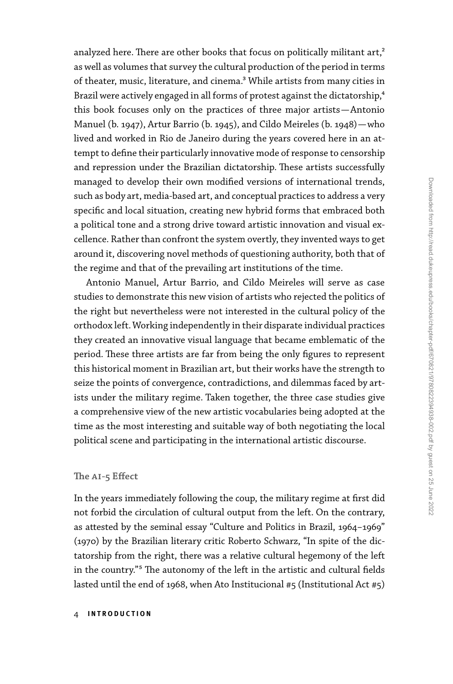analyzed here. There are other books that focus on politically militant art,<sup>2</sup> as well as volumes that survey the cultural production of the period in terms of theater, music, literature, and cinema.<sup>3</sup> While artists from many cities in Brazil were actively engaged in all forms of protest against the dictatorship,<sup>4</sup> this book focuses only on the practices of three major artists—Antonio Manuel (b. 1947), Artur Barrio (b. 1945), and Cildo Meireles (b. 1948)—who lived and worked in Rio de Janeiro during the years covered here in an attempt to define their particularly innovative mode of response to censorship and repression under the Brazilian dictatorship. These artists successfully managed to develop their own modified versions of international trends, such as body art, media-based art, and conceptual practices to address a very specific and local situation, creating new hybrid forms that embraced both a political tone and a strong drive toward artistic innovation and visual excellence. Rather than confront the system overtly, they invented ways to get around it, discovering novel methods of questioning authority, both that of the regime and that of the prevailing art institutions of the time.

Antonio Manuel, Artur Barrio, and Cildo Meireles will serve as case studies to demonstrate this new vision of artists who rejected the politics of the right but nevertheless were not interested in the cultural policy of the orthodox left. Working independently in their disparate individual practices they created an innovative visual language that became emblematic of the period. These three artists are far from being the only figures to represent this historical moment in Brazilian art, but their works have the strength to seize the points of convergence, contradictions, and dilemmas faced by artists under the military regime. Taken together, the three case studies give a comprehensive view of the new artistic vocabularies being adopted at the time as the most interesting and suitable way of both negotiating the local political scene and participating in the international artistic discourse.

## **The ai-5 Effect**

In the years immediately following the coup, the military regime at first did not forbid the circulation of cultural output from the left. On the contrary, as attested by the seminal essay "Culture and Politics in Brazil, 1964–1969" (1970) by the Brazilian literary critic Roberto Schwarz, "In spite of the dictatorship from the right, there was a relative cultural hegemony of the left in the country."5 The autonomy of the left in the artistic and cultural fields lasted until the end of 1968, when Ato Institucional #5 (Institutional Act #5)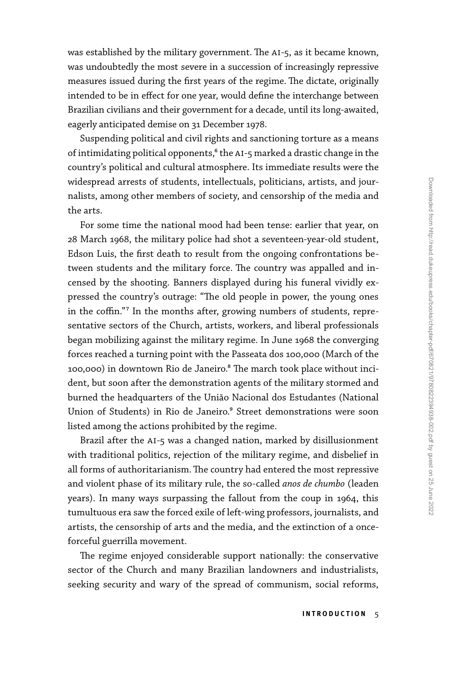was established by the military government. The AI-5, as it became known, was undoubtedly the most severe in a succession of increasingly repressive measures issued during the first years of the regime. The dictate, originally intended to be in effect for one year, would define the interchange between Brazilian civilians and their government for a decade, until its long-awaited, eagerly anticipated demise on 31 December 1978.

Suspending political and civil rights and sanctioning torture as a means of intimidating political opponents,<sup>6</sup> the AI-5 marked a drastic change in the country's political and cultural atmosphere. Its immediate results were the widespread arrests of students, intellectuals, politicians, artists, and journalists, among other members of society, and censorship of the media and the arts.

For some time the national mood had been tense: earlier that year, on 28 March 1968, the military police had shot a seventeen-year-old student, Edson Luis, the first death to result from the ongoing confrontations between students and the military force. The country was appalled and incensed by the shooting. Banners displayed during his funeral vividly expressed the country's outrage: "The old people in power, the young ones in the coffin."7 In the months after, growing numbers of students, representative sectors of the Church, artists, workers, and liberal professionals began mobilizing against the military regime. In June 1968 the converging forces reached a turning point with the Passeata dos 100,000 (March of the 100,000) in downtown Rio de Janeiro.<sup>8</sup> The march took place without incident, but soon after the demonstration agents of the military stormed and burned the headquarters of the União Nacional dos Estudantes (National Union of Students) in Rio de Janeiro.<sup>9</sup> Street demonstrations were soon listed among the actions prohibited by the regime.

Brazil after the AI-5 was a changed nation, marked by disillusionment with traditional politics, rejection of the military regime, and disbelief in all forms of authoritarianism. The country had entered the most repressive and violent phase of its military rule, the so-called *anos de chumbo* (leaden years). In many ways surpassing the fallout from the coup in 1964, this tumultuous era saw the forced exile of left-wing professors, journalists, and artists, the censorship of arts and the media, and the extinction of a onceforceful guerrilla movement.

The regime enjoyed considerable support nationally: the conservative sector of the Church and many Brazilian landowners and industrialists, seeking security and wary of the spread of communism, social reforms,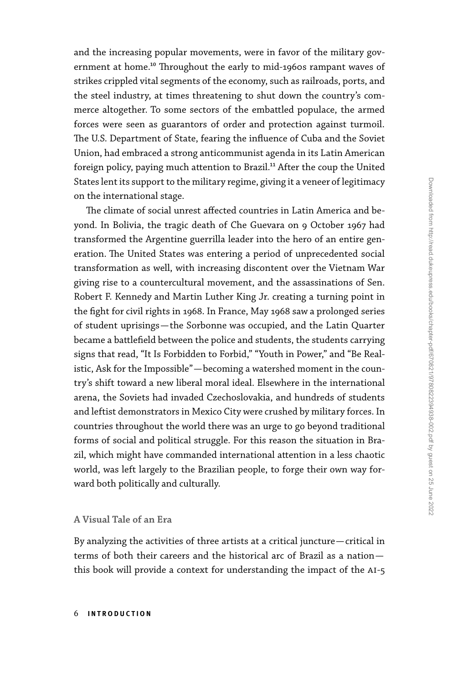and the increasing popular movements, were in favor of the military government at home.<sup>10</sup> Throughout the early to mid-1960s rampant waves of strikes crippled vital segments of the economy, such as railroads, ports, and the steel industry, at times threatening to shut down the country's commerce altogether. To some sectors of the embattled populace, the armed forces were seen as guarantors of order and protection against turmoil. The U.S. Department of State, fearing the influence of Cuba and the Soviet Union, had embraced a strong anticommunist agenda in its Latin American foreign policy, paying much attention to Brazil.<sup>11</sup> After the coup the United States lent its support to the military regime, giving it a veneer of legitimacy on the international stage.

The climate of social unrest affected countries in Latin America and beyond. In Bolivia, the tragic death of Che Guevara on 9 October 1967 had transformed the Argentine guerrilla leader into the hero of an entire generation. The United States was entering a period of unprecedented social transformation as well, with increasing discontent over the Vietnam War giving rise to a countercultural movement, and the assassinations of Sen. Robert F. Kennedy and Martin Luther King Jr. creating a turning point in the fight for civil rights in 1968. In France, May 1968 saw a prolonged series of student uprisings—the Sorbonne was occupied, and the Latin Quarter became a battlefield between the police and students, the students carrying signs that read, "It Is Forbidden to Forbid," "Youth in Power," and "Be Realistic, Ask for the Impossible"—becoming a watershed moment in the country's shift toward a new liberal moral ideal. Elsewhere in the international arena, the Soviets had invaded Czechoslovakia, and hundreds of students and leftist demonstrators in Mexico City were crushed by military forces. In countries throughout the world there was an urge to go beyond traditional forms of social and political struggle. For this reason the situation in Brazil, which might have commanded international attention in a less chaotic world, was left largely to the Brazilian people, to forge their own way forward both politically and culturally.

## **A Visual Tale of an Era**

By analyzing the activities of three artists at a critical juncture—critical in terms of both their careers and the historical arc of Brazil as a nation this book will provide a context for understanding the impact of the AI-5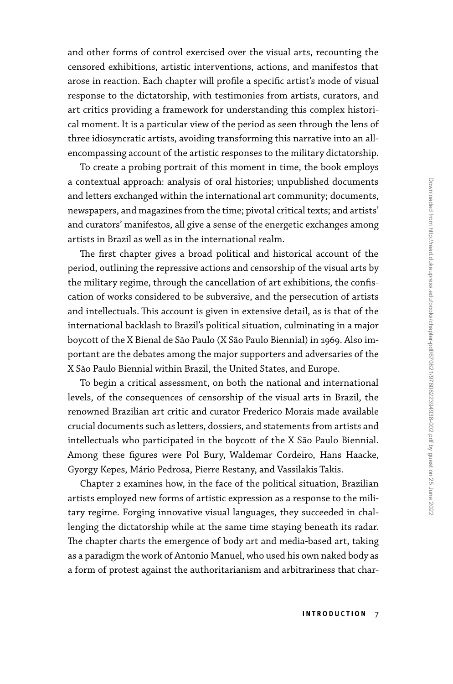and other forms of control exercised over the visual arts, recounting the censored exhibitions, artistic interventions, actions, and manifestos that arose in reaction. Each chapter will profile a specific artist's mode of visual response to the dictatorship, with testimonies from artists, curators, and art critics providing a framework for understanding this complex historical moment. It is a particular view of the period as seen through the lens of three idiosyncratic artists, avoiding transforming this narrative into an allencompassing account of the artistic responses to the military dictatorship.

To create a probing portrait of this moment in time, the book employs a contextual approach: analysis of oral histories; unpublished documents and letters exchanged within the international art community; documents, newspapers, and magazines from the time; pivotal critical texts; and artists' and curators' manifestos, all give a sense of the energetic exchanges among artists in Brazil as well as in the international realm.

The first chapter gives a broad political and historical account of the period, outlining the repressive actions and censorship of the visual arts by the military regime, through the cancellation of art exhibitions, the confiscation of works considered to be subversive, and the persecution of artists and intellectuals. This account is given in extensive detail, as is that of the international backlash to Brazil's political situation, culminating in a major boycott of the X Bienal de São Paulo (X São Paulo Biennial) in 1969. Also important are the debates among the major supporters and adversaries of the X São Paulo Biennial within Brazil, the United States, and Europe.

To begin a critical assessment, on both the national and international levels, of the consequences of censorship of the visual arts in Brazil, the renowned Brazilian art critic and curator Frederico Morais made available crucial documents such as letters, dossiers, and statements from artists and intellectuals who participated in the boycott of the X São Paulo Biennial. Among these figures were Pol Bury, Waldemar Cordeiro, Hans Haacke, Gyorgy Kepes, Mário Pedrosa, Pierre Restany, and Vassilakis Takis.

Chapter 2 examines how, in the face of the political situation, Brazilian artists employed new forms of artistic expression as a response to the military regime. Forging innovative visual languages, they succeeded in challenging the dictatorship while at the same time staying beneath its radar. The chapter charts the emergence of body art and media-based art, taking as a paradigm the work of Antonio Manuel, who used his own naked body as a form of protest against the authoritarianism and arbitrariness that char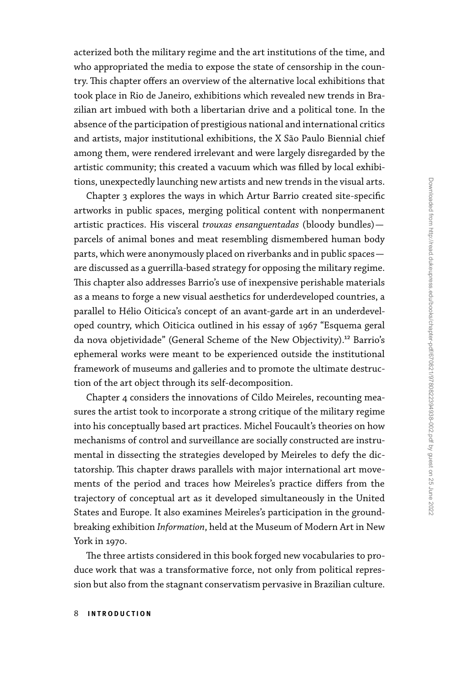acterized both the military regime and the art institutions of the time, and who appropriated the media to expose the state of censorship in the country. This chapter offers an overview of the alternative local exhibitions that took place in Rio de Janeiro, exhibitions which revealed new trends in Brazilian art imbued with both a libertarian drive and a political tone. In the absence of the participation of prestigious national and international critics and artists, major institutional exhibitions, the X São Paulo Biennial chief among them, were rendered irrelevant and were largely disregarded by the artistic community; this created a vacuum which was filled by local exhibitions, unexpectedly launching new artists and new trends in the visual arts.

Chapter 3 explores the ways in which Artur Barrio created site-specific artworks in public spaces, merging political content with nonpermanent artistic practices. His visceral *trouxas ensanguentadas* (bloody bundles) parcels of animal bones and meat resembling dismembered human body parts, which were anonymously placed on riverbanks and in public spaces are discussed as a guerrilla-based strategy for opposing the military regime. This chapter also addresses Barrio's use of inexpensive perishable materials as a means to forge a new visual aesthetics for underdeveloped countries, a parallel to Hélio Oiticica's concept of an avant-garde art in an underdeveloped country, which Oiticica outlined in his essay of 1967 "Esquema geral da nova objetividade" (General Scheme of the New Objectivity).<sup>12</sup> Barrio's ephemeral works were meant to be experienced outside the institutional framework of museums and galleries and to promote the ultimate destruction of the art object through its self-decomposition.

Chapter 4 considers the innovations of Cildo Meireles, recounting measures the artist took to incorporate a strong critique of the military regime into his conceptually based art practices. Michel Foucault's theories on how mechanisms of control and surveillance are socially constructed are instrumental in dissecting the strategies developed by Meireles to defy the dictatorship. This chapter draws parallels with major international art movements of the period and traces how Meireles's practice differs from the trajectory of conceptual art as it developed simultaneously in the United States and Europe. It also examines Meireles's participation in the groundbreaking exhibition *Information*, held at the Museum of Modern Art in New York in 1970.

The three artists considered in this book forged new vocabularies to produce work that was a transformative force, not only from political repression but also from the stagnant conservatism pervasive in Brazilian culture.